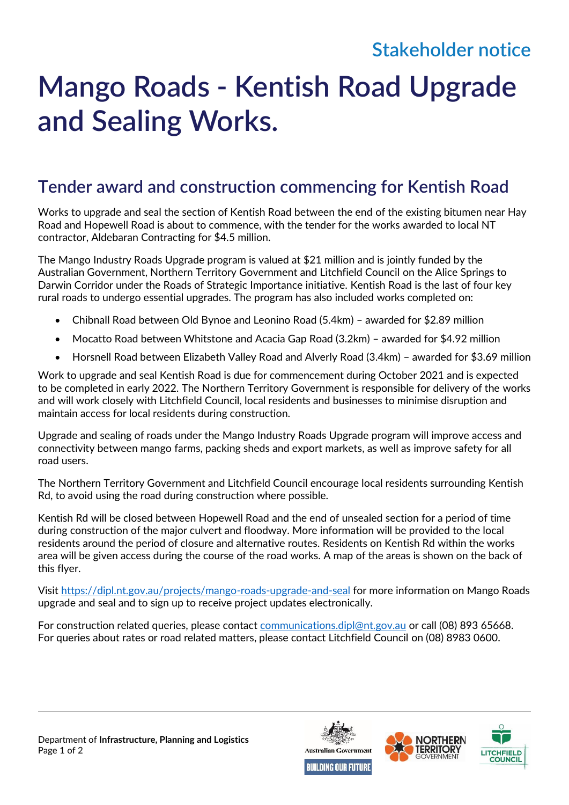## **Stakeholder notice**

## **Mango Roads - Kentish Road Upgrade and Sealing Works.**

## **Tender award and construction commencing for Kentish Road**

Works to upgrade and seal the section of Kentish Road between the end of the existing bitumen near Hay Road and Hopewell Road is about to commence, with the tender for the works awarded to local NT contractor, Aldebaran Contracting for \$4.5 million.

The Mango Industry Roads Upgrade program is valued at \$21 million and is jointly funded by the Australian Government, Northern Territory Government and Litchfield Council on the Alice Springs to Darwin Corridor under the Roads of Strategic Importance initiative. Kentish Road is the last of four key rural roads to undergo essential upgrades. The program has also included works completed on:

- Chibnall Road between Old Bynoe and Leonino Road (5.4km) awarded for \$2.89 million
- Mocatto Road between Whitstone and Acacia Gap Road (3.2km) awarded for \$4.92 million
- Horsnell Road between Elizabeth Valley Road and Alverly Road (3.4km) awarded for \$3.69 million

Work to upgrade and seal Kentish Road is due for commencement during October 2021 and is expected to be completed in early 2022. The Northern Territory Government is responsible for delivery of the works and will work closely with Litchfield Council, local residents and businesses to minimise disruption and maintain access for local residents during construction.

Upgrade and sealing of roads under the Mango Industry Roads Upgrade program will improve access and connectivity between mango farms, packing sheds and export markets, as well as improve safety for all road users.

The Northern Territory Government and Litchfield Council encourage local residents surrounding Kentish Rd, to avoid using the road during construction where possible.

Kentish Rd will be closed between Hopewell Road and the end of unsealed section for a period of time during construction of the major culvert and floodway. More information will be provided to the local residents around the period of closure and alternative routes. Residents on Kentish Rd within the works area will be given access during the course of the road works. A map of the areas is shown on the back of this flyer.

Visit<https://dipl.nt.gov.au/projects/mango-roads-upgrade-and-seal> for more information on Mango Roads upgrade and seal and to sign up to receive project updates electronically.

For construction related queries, please contact [communications.dipl@nt.gov.au](mailto:communications.dipl@nt.gov.au) or call (08) 893 65668. For queries about rates or road related matters, please contact Litchfield Council on (08) 8983 0600.